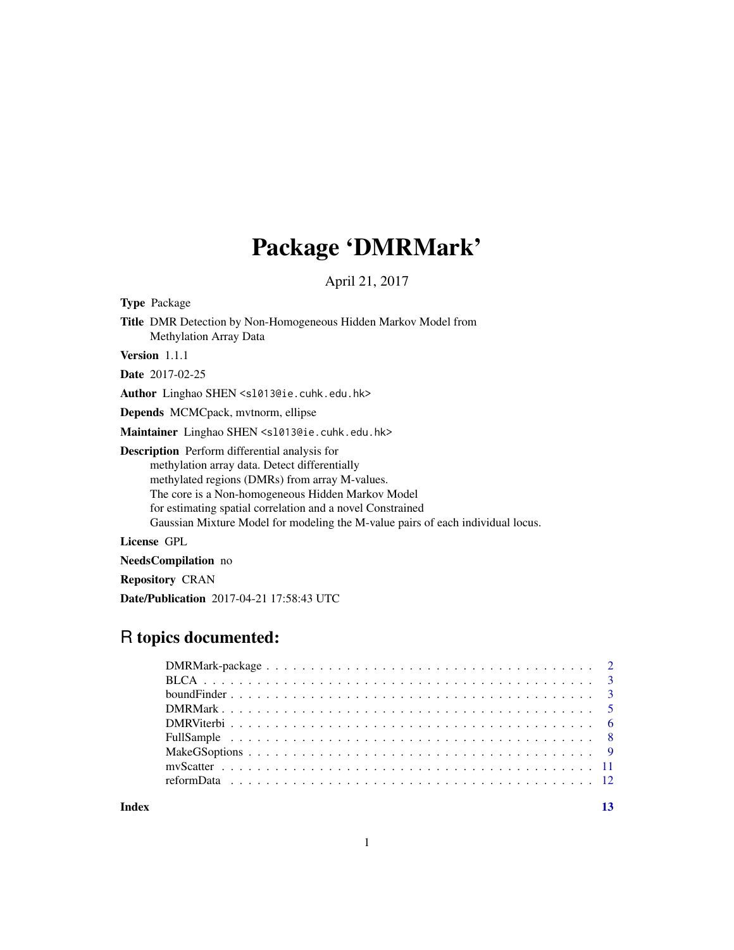## Package 'DMRMark'

April 21, 2017

Type Package

Title DMR Detection by Non-Homogeneous Hidden Markov Model from Methylation Array Data

Version 1.1.1

Date 2017-02-25

Author Linghao SHEN <sl013@ie.cuhk.edu.hk>

Depends MCMCpack, mvtnorm, ellipse

Maintainer Linghao SHEN <s1013@ie.cuhk.edu.hk>

Description Perform differential analysis for methylation array data. Detect differentially methylated regions (DMRs) from array M-values. The core is a Non-homogeneous Hidden Markov Model for estimating spatial correlation and a novel Constrained Gaussian Mixture Model for modeling the M-value pairs of each individual locus.

License GPL

NeedsCompilation no

Repository CRAN

Date/Publication 2017-04-21 17:58:43 UTC

## R topics documented:

**Index** [13](#page-12-0)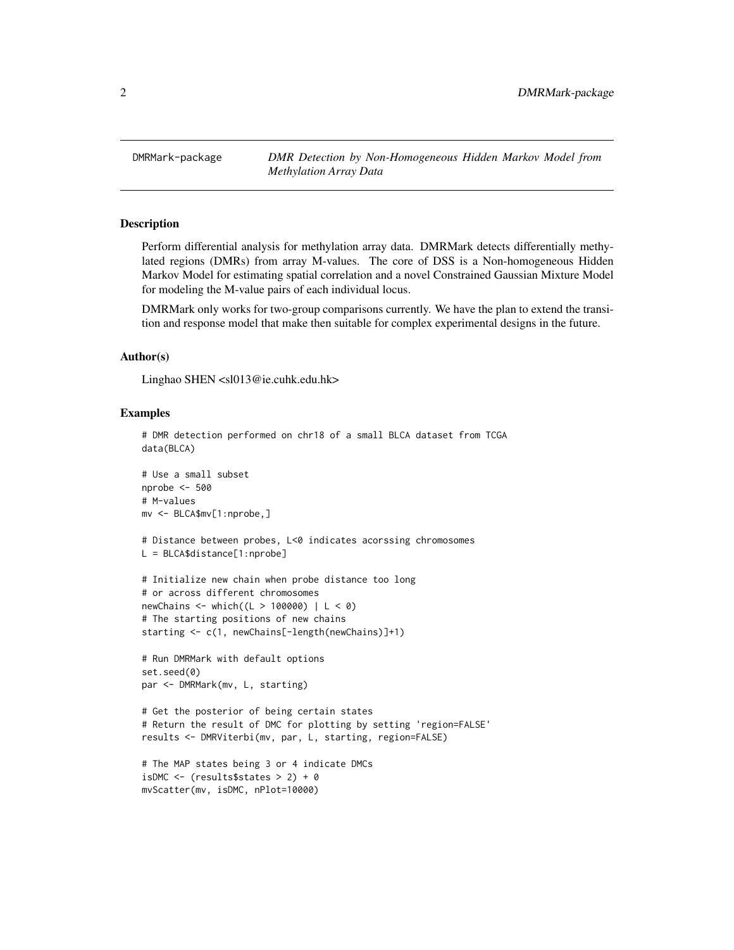<span id="page-1-0"></span>DMRMark-package *DMR Detection by Non-Homogeneous Hidden Markov Model from Methylation Array Data*

## **Description**

Perform differential analysis for methylation array data. DMRMark detects differentially methylated regions (DMRs) from array M-values. The core of DSS is a Non-homogeneous Hidden Markov Model for estimating spatial correlation and a novel Constrained Gaussian Mixture Model for modeling the M-value pairs of each individual locus.

DMRMark only works for two-group comparisons currently. We have the plan to extend the transition and response model that make then suitable for complex experimental designs in the future.

#### Author(s)

Linghao SHEN <sl013@ie.cuhk.edu.hk>

#### Examples

```
# DMR detection performed on chr18 of a small BLCA dataset from TCGA
data(BLCA)
# Use a small subset
nprobe <- 500
# M-values
mv <- BLCA$mv[1:nprobe,]
# Distance between probes, L<0 indicates acorssing chromosomes
L = BLCA$distance[1:nprobe]
# Initialize new chain when probe distance too long
# or across different chromosomes
newChains <- which((L > 100000) | L < 0)
# The starting positions of new chains
starting <- c(1, newChains[-length(newChains)]+1)
# Run DMRMark with default options
set.seed(0)
par <- DMRMark(mv, L, starting)
# Get the posterior of being certain states
# Return the result of DMC for plotting by setting 'region=FALSE'
results <- DMRViterbi(mv, par, L, starting, region=FALSE)
# The MAP states being 3 or 4 indicate DMCs
isDMC \leq (results$states > 2) + 0
mvScatter(mv, isDMC, nPlot=10000)
```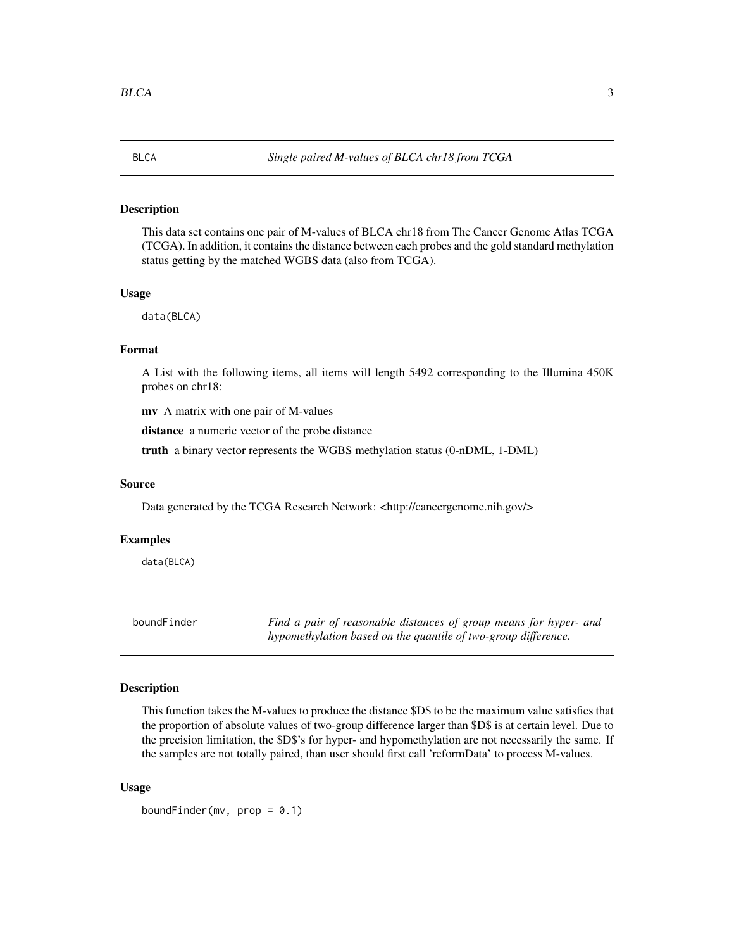<span id="page-2-0"></span>

#### Description

This data set contains one pair of M-values of BLCA chr18 from The Cancer Genome Atlas TCGA (TCGA). In addition, it contains the distance between each probes and the gold standard methylation status getting by the matched WGBS data (also from TCGA).

#### Usage

data(BLCA)

## Format

A List with the following items, all items will length 5492 corresponding to the Illumina 450K probes on chr18:

mv A matrix with one pair of M-values

distance a numeric vector of the probe distance

truth a binary vector represents the WGBS methylation status (0-nDML, 1-DML)

#### Source

Data generated by the TCGA Research Network: <http://cancergenome.nih.gov/>

#### Examples

data(BLCA)

boundFinder *Find a pair of reasonable distances of group means for hyper- and hypomethylation based on the quantile of two-group difference.*

#### Description

This function takes the M-values to produce the distance \$D\$ to be the maximum value satisfies that the proportion of absolute values of two-group difference larger than \$D\$ is at certain level. Due to the precision limitation, the \$D\$'s for hyper- and hypomethylation are not necessarily the same. If the samples are not totally paired, than user should first call 'reformData' to process M-values.

#### Usage

boundFinder(mv,  $prop = 0.1$ )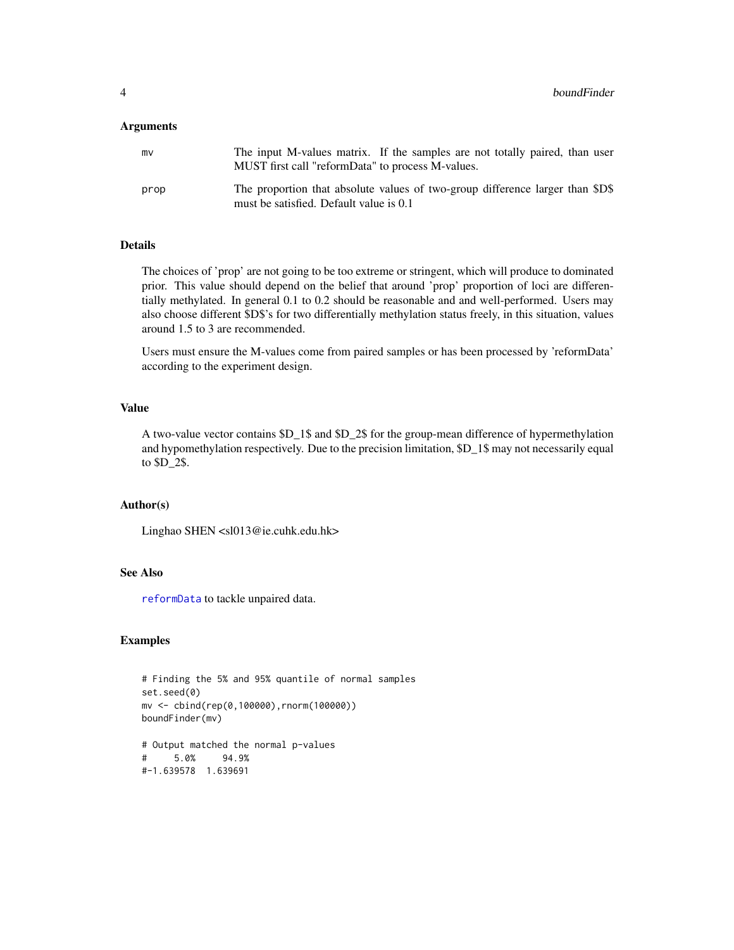#### <span id="page-3-0"></span>Arguments

| mv   | The input M-values matrix. If the samples are not totally paired, than user<br>MUST first call "reformData" to process M-values. |  |  |
|------|----------------------------------------------------------------------------------------------------------------------------------|--|--|
| prop | The proportion that absolute values of two-group difference larger than \$D\$<br>must be satisfied. Default value is 0.1         |  |  |

## Details

The choices of 'prop' are not going to be too extreme or stringent, which will produce to dominated prior. This value should depend on the belief that around 'prop' proportion of loci are differentially methylated. In general 0.1 to 0.2 should be reasonable and and well-performed. Users may also choose different \$D\$'s for two differentially methylation status freely, in this situation, values around 1.5 to 3 are recommended.

Users must ensure the M-values come from paired samples or has been processed by 'reformData' according to the experiment design.

#### Value

A two-value vector contains \$D\_1\$ and \$D\_2\$ for the group-mean difference of hypermethylation and hypomethylation respectively. Due to the precision limitation, \$D\_1\$ may not necessarily equal to \$D\_2\$.

#### Author(s)

Linghao SHEN <sl013@ie.cuhk.edu.hk>

#### See Also

[reformData](#page-11-1) to tackle unpaired data.

## Examples

```
# Finding the 5% and 95% quantile of normal samples
set.seed(0)
mv <- cbind(rep(0,100000),rnorm(100000))
boundFinder(mv)
# Output matched the normal p-values
# 5.0% 94.9%
```
#-1.639578 1.639691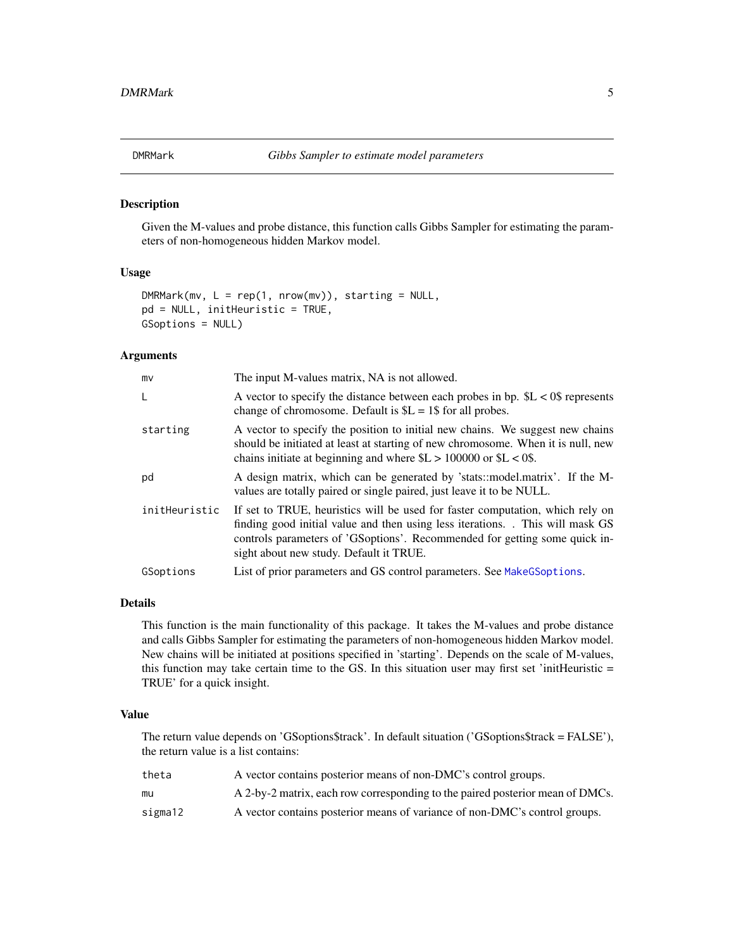<span id="page-4-1"></span><span id="page-4-0"></span>

## Description

Given the M-values and probe distance, this function calls Gibbs Sampler for estimating the parameters of non-homogeneous hidden Markov model.

#### Usage

```
DMRMark(mv, L = rep(1, nrow(mv)), starting = NULL,pd = NULL, initHeuristic = TRUE,
GSoptions = NULL)
```
## Arguments

| mv            | The input M-values matrix, NA is not allowed.                                                                                                                                                                                                                                          |
|---------------|----------------------------------------------------------------------------------------------------------------------------------------------------------------------------------------------------------------------------------------------------------------------------------------|
| L             | A vector to specify the distance between each probes in bp. $SL < 0$ \$ represents<br>change of chromosome. Default is $L = 1$ for all probes.                                                                                                                                         |
| starting      | A vector to specify the position to initial new chains. We suggest new chains<br>should be initiated at least at starting of new chromosome. When it is null, new<br>chains initiate at beginning and where $L > 100000$ or $L < 0$ .                                                  |
| pd            | A design matrix, which can be generated by 'stats::model.matrix'. If the M-<br>values are totally paired or single paired, just leave it to be NULL.                                                                                                                                   |
| initHeuristic | If set to TRUE, heuristics will be used for faster computation, which rely on<br>finding good initial value and then using less iterations. This will mask GS<br>controls parameters of 'GSoptions'. Recommended for getting some quick in-<br>sight about new study. Default it TRUE. |
| GSoptions     | List of prior parameters and GS control parameters. See Make GS options.                                                                                                                                                                                                               |

## Details

This function is the main functionality of this package. It takes the M-values and probe distance and calls Gibbs Sampler for estimating the parameters of non-homogeneous hidden Markov model. New chains will be initiated at positions specified in 'starting'. Depends on the scale of M-values, this function may take certain time to the GS. In this situation user may first set 'initHeuristic = TRUE' for a quick insight.

#### Value

The return value depends on 'GSoptions\$track'. In default situation ('GSoptions\$track = FALSE'), the return value is a list contains:

| theta   | A vector contains posterior means of non-DMC's control groups.                |
|---------|-------------------------------------------------------------------------------|
| mu      | A 2-by-2 matrix, each row corresponding to the paired posterior mean of DMCs. |
| sigma12 | A vector contains posterior means of variance of non-DMC's control groups.    |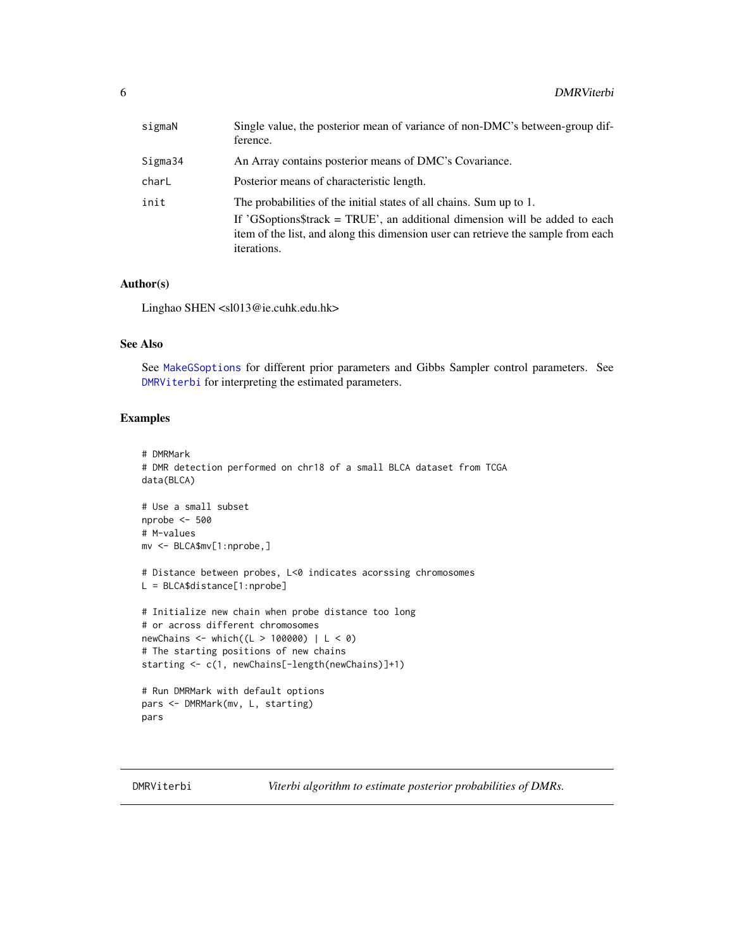<span id="page-5-0"></span>

| sigmaN  | Single value, the posterior mean of variance of non-DMC's between-group dif-<br>ference.                                                                                        |
|---------|---------------------------------------------------------------------------------------------------------------------------------------------------------------------------------|
| Sigma34 | An Array contains posterior means of DMC's Covariance.                                                                                                                          |
| charL   | Posterior means of characteristic length.                                                                                                                                       |
| init    | The probabilities of the initial states of all chains. Sum up to 1.                                                                                                             |
|         | If 'GSoptions\$track = TRUE', an additional dimension will be added to each<br>item of the list, and along this dimension user can retrieve the sample from each<br>iterations. |

## Author(s)

Linghao SHEN <sl013@ie.cuhk.edu.hk>

## See Also

See [MakeGSoptions](#page-8-1) for different prior parameters and Gibbs Sampler control parameters. See [DMRViterbi](#page-5-1) for interpreting the estimated parameters.

#### Examples

```
# DMRMark
# DMR detection performed on chr18 of a small BLCA dataset from TCGA
data(BLCA)
# Use a small subset
nprobe <- 500
# M-values
mv <- BLCA$mv[1:nprobe,]
# Distance between probes, L<0 indicates acorssing chromosomes
L = BLCA$distance[1:nprobe]
# Initialize new chain when probe distance too long
# or across different chromosomes
newChains <- which((L > 100000) | L < 0)
# The starting positions of new chains
starting <- c(1, newChains[-length(newChains)]+1)
# Run DMRMark with default options
pars <- DMRMark(mv, L, starting)
pars
```
<span id="page-5-1"></span>DMRViterbi *Viterbi algorithm to estimate posterior probabilities of DMRs.*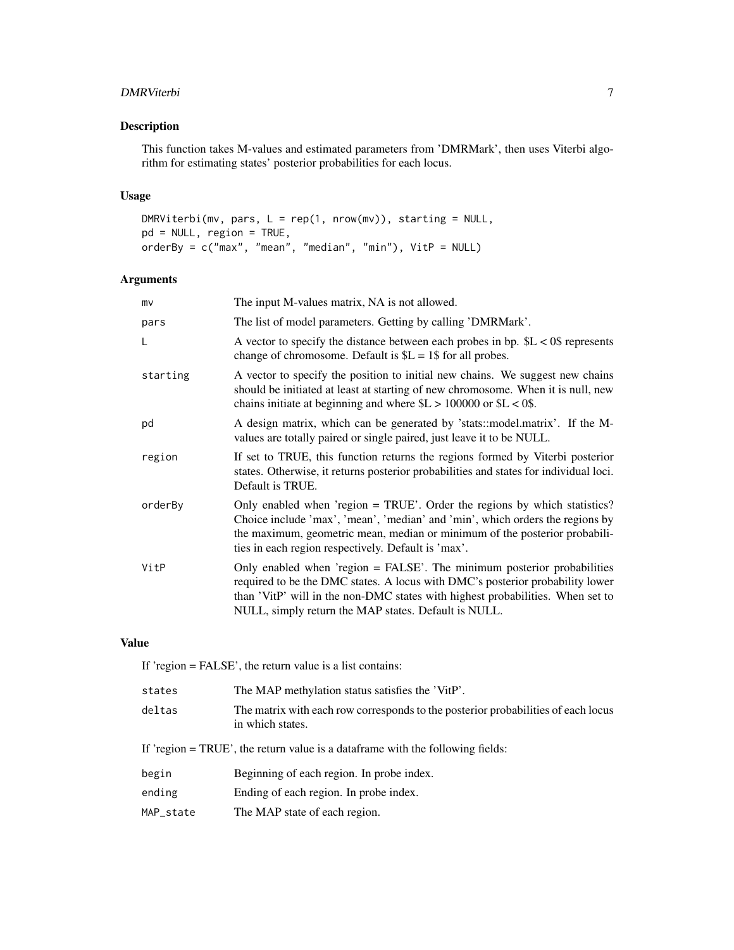## DMRViterbi 7

## Description

This function takes M-values and estimated parameters from 'DMRMark', then uses Viterbi algorithm for estimating states' posterior probabilities for each locus.

#### Usage

DMRViterbi(mv, pars, L = rep(1, nrow(mv)), starting = NULL, pd = NULL, region = TRUE, orderBy = c("max", "mean", "median", "min"), VitP = NULL)

## Arguments

| mv       | The input M-values matrix, NA is not allowed.                                                                                                                                                                                                                                                      |
|----------|----------------------------------------------------------------------------------------------------------------------------------------------------------------------------------------------------------------------------------------------------------------------------------------------------|
| pars     | The list of model parameters. Getting by calling 'DMRMark'.                                                                                                                                                                                                                                        |
| L        | A vector to specify the distance between each probes in bp. $L < 0$ \$ represents<br>change of chromosome. Default is $SL = 1\$ for all probes.                                                                                                                                                    |
| starting | A vector to specify the position to initial new chains. We suggest new chains<br>should be initiated at least at starting of new chromosome. When it is null, new<br>chains initiate at beginning and where $L > 100000$ or $L < 0$ .                                                              |
| pd       | A design matrix, which can be generated by 'stats::model.matrix'. If the M-<br>values are totally paired or single paired, just leave it to be NULL.                                                                                                                                               |
| region   | If set to TRUE, this function returns the regions formed by Viterbi posterior<br>states. Otherwise, it returns posterior probabilities and states for individual loci.<br>Default is TRUE.                                                                                                         |
| orderBy  | Only enabled when 'region = TRUE'. Order the regions by which statistics?<br>Choice include 'max', 'mean', 'median' and 'min', which orders the regions by<br>the maximum, geometric mean, median or minimum of the posterior probabili-<br>ties in each region respectively. Default is 'max'.    |
| VitP     | Only enabled when 'region = FALSE'. The minimum posterior probabilities<br>required to be the DMC states. A locus with DMC's posterior probability lower<br>than 'VitP' will in the non-DMC states with highest probabilities. When set to<br>NULL, simply return the MAP states. Default is NULL. |

### Value

If 'region = FALSE', the return value is a list contains:

| states                                                                         | The MAP methylation status satisfies the 'VitP'.                                                      |  |
|--------------------------------------------------------------------------------|-------------------------------------------------------------------------------------------------------|--|
| deltas                                                                         | The matrix with each row corresponds to the posterior probabilities of each locus<br>in which states. |  |
| If 'region = TRUE', the return value is a dataframe with the following fields: |                                                                                                       |  |
| begin                                                                          | Beginning of each region. In probe index.                                                             |  |
| ending                                                                         | Ending of each region. In probe index.                                                                |  |
| MAP_state                                                                      | The MAP state of each region.                                                                         |  |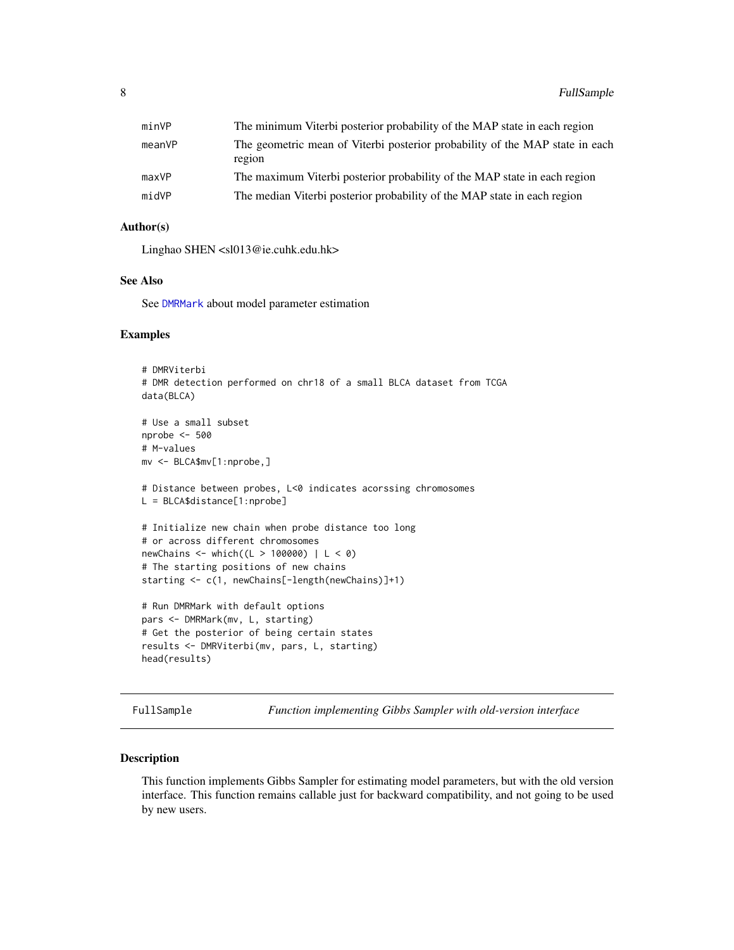<span id="page-7-0"></span>

| minVP  | The minimum Viterbi posterior probability of the MAP state in each region              |
|--------|----------------------------------------------------------------------------------------|
| meanVP | The geometric mean of Viterbi posterior probability of the MAP state in each<br>region |
| maxVP  | The maximum Viterbi posterior probability of the MAP state in each region              |
| midVP  | The median Viterbi posterior probability of the MAP state in each region               |
|        |                                                                                        |

## Author(s)

Linghao SHEN <sl013@ie.cuhk.edu.hk>

#### See Also

See [DMRMark](#page-4-1) about model parameter estimation

#### Examples

```
# DMRViterbi
# DMR detection performed on chr18 of a small BLCA dataset from TCGA
data(BLCA)
# Use a small subset
nprobe <- 500
# M-values
mv <- BLCA$mv[1:nprobe,]
# Distance between probes, L<0 indicates acorssing chromosomes
L = BLCA$distance[1:nprobe]
# Initialize new chain when probe distance too long
# or across different chromosomes
newChains <- which((L > 100000) | L < 0)
# The starting positions of new chains
starting <- c(1, newChains[-length(newChains)]+1)
# Run DMRMark with default options
pars <- DMRMark(mv, L, starting)
# Get the posterior of being certain states
results <- DMRViterbi(mv, pars, L, starting)
head(results)
```
FullSample *Function implementing Gibbs Sampler with old-version interface*

## Description

This function implements Gibbs Sampler for estimating model parameters, but with the old version interface. This function remains callable just for backward compatibility, and not going to be used by new users.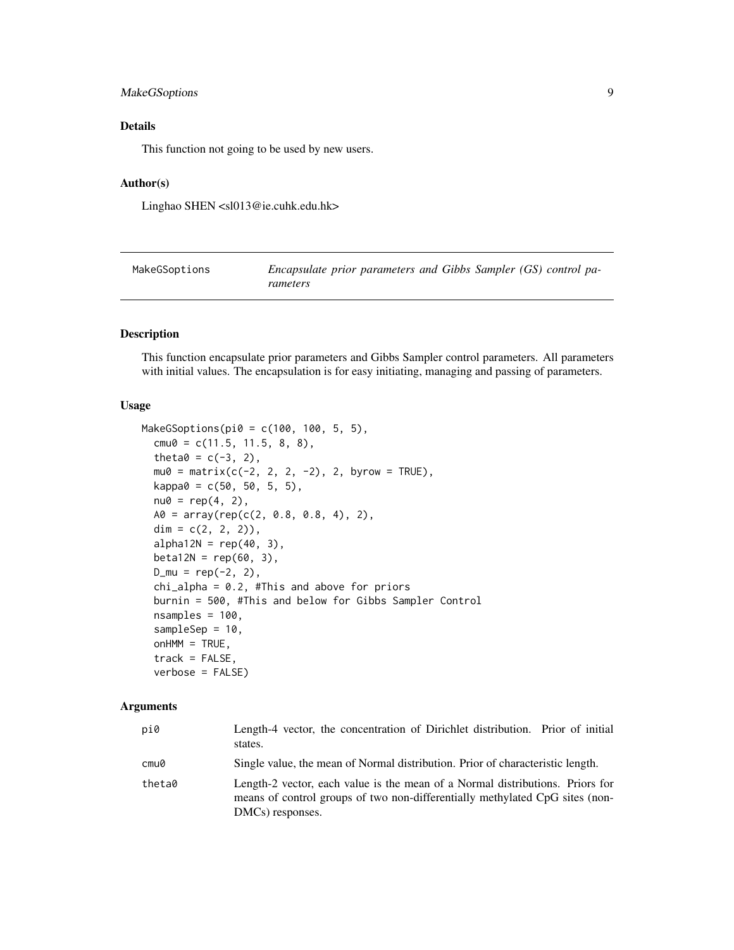## <span id="page-8-0"></span>MakeGSoptions 9

## Details

This function not going to be used by new users.

#### Author(s)

Linghao SHEN <sl013@ie.cuhk.edu.hk>

<span id="page-8-1"></span>

| MakeGSoptions | Encapsulate prior parameters and Gibbs Sampler (GS) control pa- |
|---------------|-----------------------------------------------------------------|
|               | rameters                                                        |

#### Description

This function encapsulate prior parameters and Gibbs Sampler control parameters. All parameters with initial values. The encapsulation is for easy initiating, managing and passing of parameters.

#### Usage

```
MakeGSoptions(pi0 = c(100, 100, 5, 5),
  cmu0 = c(11.5, 11.5, 8, 8),theta0 = c(-3, 2),
 mu0 = matrix(c(-2, 2, 2, -2), 2, byrow = TRUE),kappa0 = c(50, 50, 5, 5),
 nu0 = rep(4, 2),A0 = array(rep(c(2, 0.8, 0.8, 4), 2),dim = c(2, 2, 2),
  alpha12N = rep(40, 3),
 beta12N = rep(60, 3),D_{mu} = rep(-2, 2),chi-alpha = 0.2, #This and above for priors
 burnin = 500, #This and below for Gibbs Sampler Control
  nsamples = 100,
  sampleSep = 10,
  onHM = TRUE,track = FALSE,verbose = FALSE)
```
## Arguments

| pi0    | Length-4 vector, the concentration of Dirichlet distribution. Prior of initial<br>states.                                                                                         |
|--------|-----------------------------------------------------------------------------------------------------------------------------------------------------------------------------------|
| cmu0   | Single value, the mean of Normal distribution. Prior of characteristic length.                                                                                                    |
| theta0 | Length-2 vector, each value is the mean of a Normal distributions. Priors for<br>means of control groups of two non-differentially methylated CpG sites (non-<br>DMCs) responses. |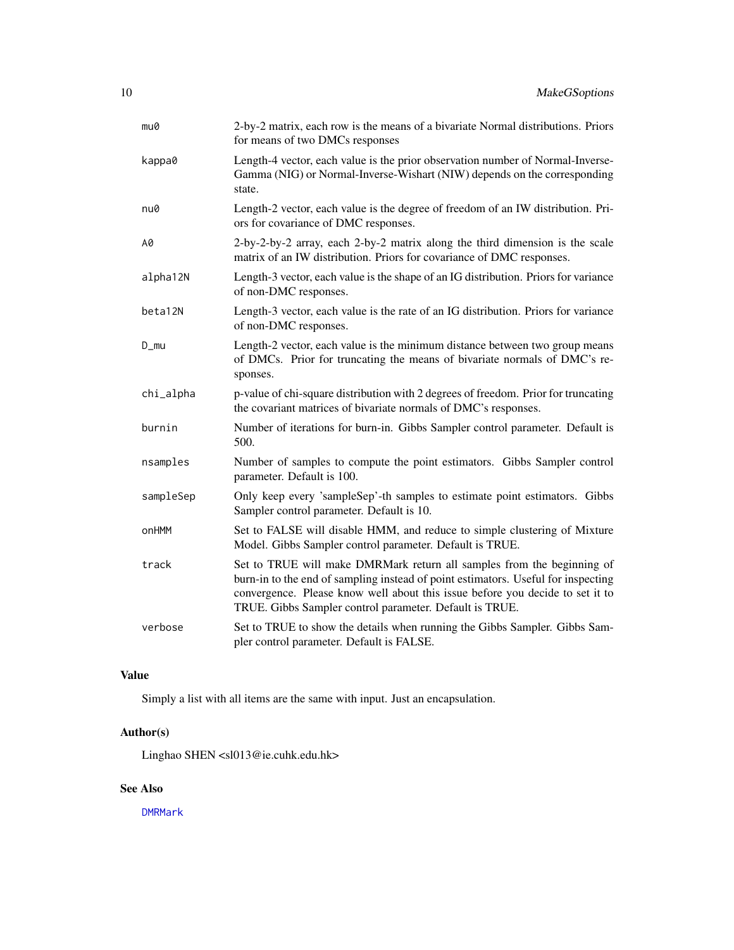<span id="page-9-0"></span>

| mu0       | 2-by-2 matrix, each row is the means of a bivariate Normal distributions. Priors<br>for means of two DMCs responses                                                                                                                                                                                     |
|-----------|---------------------------------------------------------------------------------------------------------------------------------------------------------------------------------------------------------------------------------------------------------------------------------------------------------|
| kappa0    | Length-4 vector, each value is the prior observation number of Normal-Inverse-<br>Gamma (NIG) or Normal-Inverse-Wishart (NIW) depends on the corresponding<br>state.                                                                                                                                    |
| nu0       | Length-2 vector, each value is the degree of freedom of an IW distribution. Pri-<br>ors for covariance of DMC responses.                                                                                                                                                                                |
| A0        | 2-by-2-by-2 array, each 2-by-2 matrix along the third dimension is the scale<br>matrix of an IW distribution. Priors for covariance of DMC responses.                                                                                                                                                   |
| alpha12N  | Length-3 vector, each value is the shape of an IG distribution. Priors for variance<br>of non-DMC responses.                                                                                                                                                                                            |
| beta12N   | Length-3 vector, each value is the rate of an IG distribution. Priors for variance<br>of non-DMC responses.                                                                                                                                                                                             |
| $D_{mu}$  | Length-2 vector, each value is the minimum distance between two group means<br>of DMCs. Prior for truncating the means of bivariate normals of DMC's re-<br>sponses.                                                                                                                                    |
| chi_alpha | p-value of chi-square distribution with 2 degrees of freedom. Prior for truncating<br>the covariant matrices of bivariate normals of DMC's responses.                                                                                                                                                   |
| burnin    | Number of iterations for burn-in. Gibbs Sampler control parameter. Default is<br>500.                                                                                                                                                                                                                   |
| nsamples  | Number of samples to compute the point estimators. Gibbs Sampler control<br>parameter. Default is 100.                                                                                                                                                                                                  |
| sampleSep | Only keep every 'sampleSep'-th samples to estimate point estimators. Gibbs<br>Sampler control parameter. Default is 10.                                                                                                                                                                                 |
| onHMM     | Set to FALSE will disable HMM, and reduce to simple clustering of Mixture<br>Model. Gibbs Sampler control parameter. Default is TRUE.                                                                                                                                                                   |
| track     | Set to TRUE will make DMRMark return all samples from the beginning of<br>burn-in to the end of sampling instead of point estimators. Useful for inspecting<br>convergence. Please know well about this issue before you decide to set it to<br>TRUE. Gibbs Sampler control parameter. Default is TRUE. |
| verbose   | Set to TRUE to show the details when running the Gibbs Sampler. Gibbs Sam-<br>pler control parameter. Default is FALSE.                                                                                                                                                                                 |

## Value

Simply a list with all items are the same with input. Just an encapsulation.

## Author(s)

Linghao SHEN <sl013@ie.cuhk.edu.hk>

## See Also

[DMRMark](#page-4-1)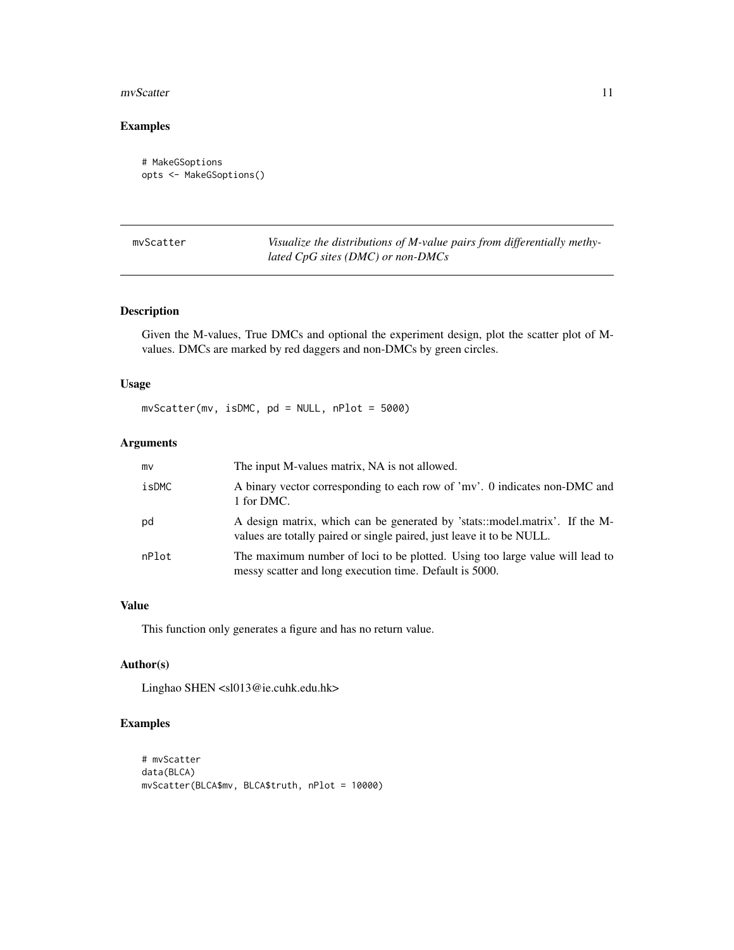#### <span id="page-10-0"></span>mvScatter 11

## Examples

```
# MakeGSoptions
opts <- MakeGSoptions()
```
mvScatter *Visualize the distributions of M-value pairs from differentially methylated CpG sites (DMC) or non-DMCs*

## Description

Given the M-values, True DMCs and optional the experiment design, plot the scatter plot of Mvalues. DMCs are marked by red daggers and non-DMCs by green circles.

#### Usage

mvScatter(mv, isDMC, pd = NULL, nPlot = 5000)

## Arguments

| mv    | The input M-values matrix, NA is not allowed.                                                                                                        |
|-------|------------------------------------------------------------------------------------------------------------------------------------------------------|
| isDMC | A binary vector corresponding to each row of 'mv'. 0 indicates non-DMC and<br>1 for DMC.                                                             |
| pd    | A design matrix, which can be generated by 'stats::model.matrix'. If the M-<br>values are totally paired or single paired, just leave it to be NULL. |
| nPlot | The maximum number of loci to be plotted. Using too large value will lead to<br>messy scatter and long execution time. Default is 5000.              |

## Value

This function only generates a figure and has no return value.

## Author(s)

Linghao SHEN <sl013@ie.cuhk.edu.hk>

## Examples

```
# mvScatter
data(BLCA)
mvScatter(BLCA$mv, BLCA$truth, nPlot = 10000)
```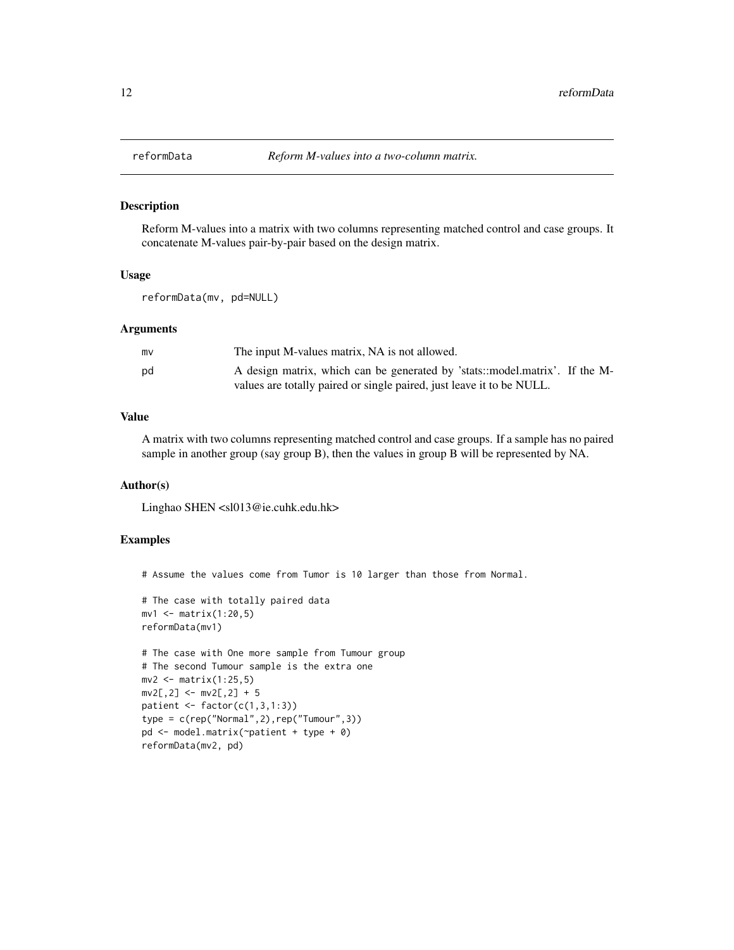#### Description

Reform M-values into a matrix with two columns representing matched control and case groups. It concatenate M-values pair-by-pair based on the design matrix.

#### Usage

reformData(mv, pd=NULL)

## Arguments

| mv | The input M-values matrix, NA is not allowed.                               |
|----|-----------------------------------------------------------------------------|
| pd | A design matrix, which can be generated by 'stats::model.matrix'. If the M- |
|    | values are totally paired or single paired, just leave it to be NULL.       |

## Value

A matrix with two columns representing matched control and case groups. If a sample has no paired sample in another group (say group B), then the values in group B will be represented by NA.

#### Author(s)

Linghao SHEN <sl013@ie.cuhk.edu.hk>

## Examples

# Assume the values come from Tumor is 10 larger than those from Normal.

```
# The case with totally paired data
mv1 <- matrix(1:20,5)
reformData(mv1)
```

```
# The case with One more sample from Tumour group
# The second Tumour sample is the extra one
mv2 <- matrix(1:25,5)
mv2[, 2] <- mv2[, 2] + 5
patient \leq factor(c(1,3,1:3))
type = c(rep("Normal",2),rep("Tumour",3))
pd <- model.matrix(~patient + type + 0)
reformData(mv2, pd)
```